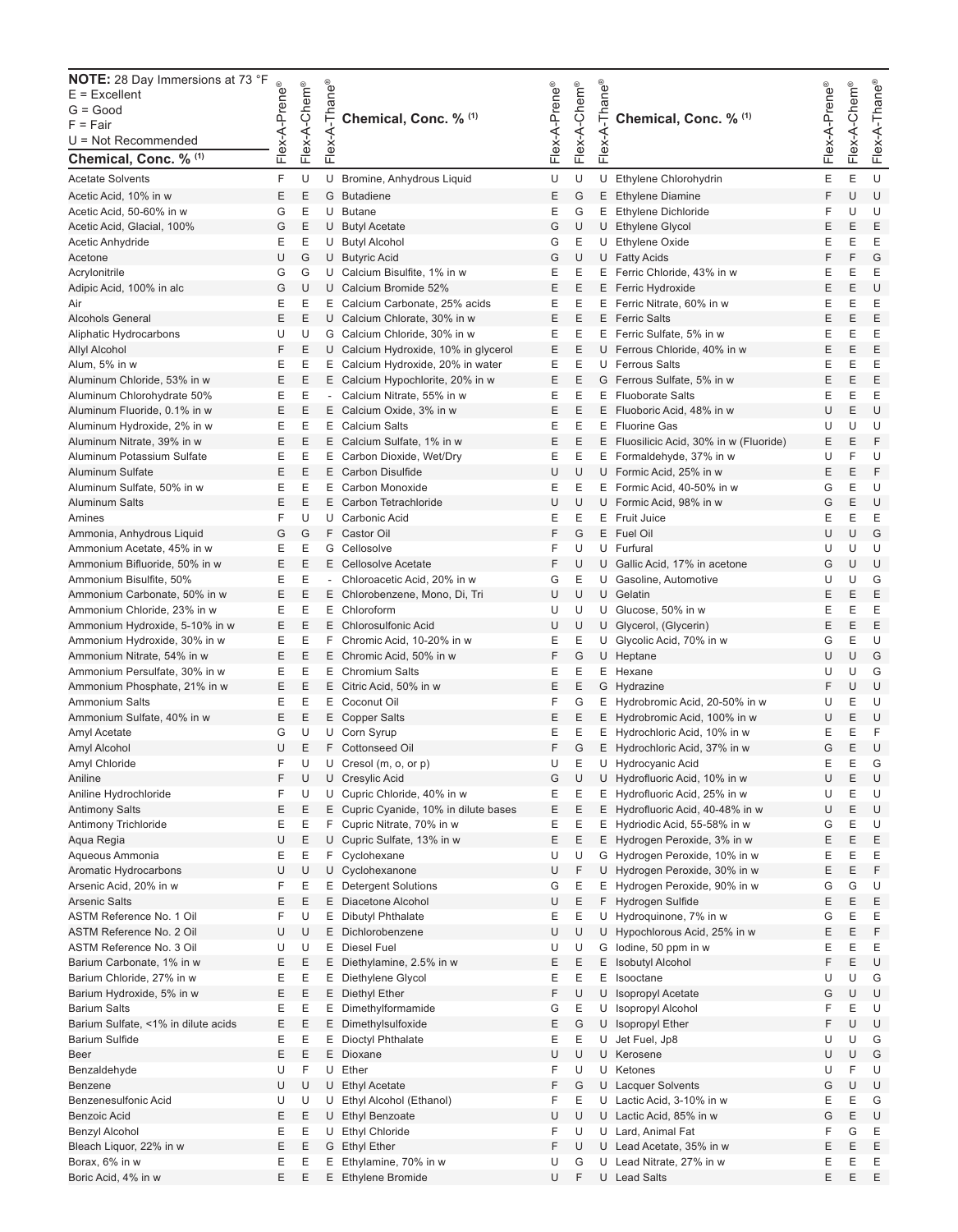| <b>NOTE:</b> 28 Day Immersions at 73 °F<br>$E = Excellent$<br>$G = Good$<br>$F = Fair$<br>$U = Not$ Recommended<br>Chemical, Conc. % (1) | Flex-A-Prene® | Flex-A-Chem® | -Thane®<br>Flex-A-       | Chemical, Conc. % (1)                                                | Flex-A-Prene® | Flex-A-Chem® | -Thane®<br>Flex-A- | Chemical, Conc. % (1)                                           | Flex-A-Prene® | Flex-A-Chem® | Flex-A-Thane <sup>®</sup> |
|------------------------------------------------------------------------------------------------------------------------------------------|---------------|--------------|--------------------------|----------------------------------------------------------------------|---------------|--------------|--------------------|-----------------------------------------------------------------|---------------|--------------|---------------------------|
| <b>Acetate Solvents</b>                                                                                                                  | F             | U            |                          | U Bromine, Anhydrous Liquid                                          | U             | U            |                    | U Ethylene Chlorohydrin                                         | Ε             | Е            | U                         |
| Acetic Acid, 10% in w                                                                                                                    | Ε             | E            |                          | G Butadiene                                                          | Ε             | G            |                    | E Ethylene Diamine                                              | F             | U            | U                         |
| Acetic Acid, 50-60% in w                                                                                                                 | G             | Ε            |                          | U Butane                                                             | Ε             | G            | E.                 | <b>Ethylene Dichloride</b>                                      | F             | U            | U                         |
| Acetic Acid, Glacial, 100%                                                                                                               | G             | E            |                          | U Butyl Acetate                                                      | G             | U            |                    | U Ethylene Glycol                                               | E             | Ε            | E                         |
| Acetic Anhydride                                                                                                                         | Ε             | Ε            |                          | U Butyl Alcohol                                                      | G             | Е            |                    | U Ethylene Oxide                                                | Ε             | Ε            | Ε                         |
| Acetone                                                                                                                                  | U             | G            |                          | U Butyric Acid                                                       | G             | U            |                    | U Fatty Acids                                                   | F             | F            | G                         |
| Acrylonitrile                                                                                                                            | G             | G            |                          | U Calcium Bisulfite, 1% in w                                         | Ε             | Ε            |                    | E Ferric Chloride, 43% in w                                     | Ε             | Ε            | Ε                         |
| Adipic Acid, 100% in alc                                                                                                                 | G             | U            |                          | U Calcium Bromide 52%                                                | E             | Ε            |                    | E Ferric Hydroxide                                              | E             | Ε            | U                         |
| Air<br><b>Alcohols General</b>                                                                                                           | Ε<br>E        | Ε<br>E       |                          | E Calcium Carbonate, 25% acids<br>U Calcium Chlorate, 30% in w       | Ε<br>E        | Ε<br>E       |                    | E Ferric Nitrate, 60% in w<br>E Ferric Salts                    | Ε<br>E        | Ε<br>Ε       | E<br>E                    |
| Aliphatic Hydrocarbons                                                                                                                   | U             | U            |                          | G Calcium Chloride, 30% in w                                         | Ε             | Ε            |                    | E Ferric Sulfate, 5% in w                                       | Ε             | Ε            | Ε                         |
| Allyl Alcohol                                                                                                                            | F             | E            |                          | U Calcium Hydroxide, 10% in glycerol                                 | Ε             | E            | U                  | Ferrous Chloride, 40% in w                                      | Ε             | Ε            | E                         |
| Alum, 5% in w                                                                                                                            | Ε             | Ε            |                          | E Calcium Hydroxide, 20% in water                                    | Е             | Ε            |                    | U Ferrous Salts                                                 | Ε             | Ε            | Ε                         |
| Aluminum Chloride, 53% in w                                                                                                              | E             | Ε            |                          | E Calcium Hypochlorite, 20% in w                                     | Ε             | Ε            |                    | G Ferrous Sulfate, 5% in w                                      | Ε             | E            | E                         |
| Aluminum Chlorohydrate 50%                                                                                                               | Ε             | Ε            | $\overline{\phantom{a}}$ | Calcium Nitrate, 55% in w                                            | Е             | Ε            |                    | E Fluoborate Salts                                              | Ε             | Е            | E                         |
| Aluminum Fluoride, 0.1% in w                                                                                                             | E             | Ε            |                          | E Calcium Oxide, 3% in w                                             | E             | Ε            |                    | E Fluoboric Acid, 48% in w                                      | U             | Ε            | U                         |
| Aluminum Hydroxide, 2% in w                                                                                                              | Ε             | Ε            |                          | E Calcium Salts                                                      | Ε             | Ε            |                    | E Fluorine Gas                                                  | U             | U            | U                         |
| Aluminum Nitrate, 39% in w                                                                                                               | E             | E            |                          | E Calcium Sulfate, 1% in w                                           | Ε             | E            |                    | E Fluosilicic Acid, 30% in w (Fluoride)                         | E             | Ε            | F                         |
| Aluminum Potassium Sulfate                                                                                                               | Ε             | Ε            |                          | E Carbon Dioxide, Wet/Dry                                            | Ε             | Ε            |                    | E Formaldehyde, 37% in w                                        | U             | F            | U                         |
| Aluminum Sulfate                                                                                                                         | Ε             | E            |                          | E Carbon Disulfide                                                   | U             | U            |                    | U Formic Acid, 25% in w                                         | Ε             | Ε            | F                         |
| Aluminum Sulfate, 50% in w                                                                                                               | Ε             | Ε            |                          | E Carbon Monoxide                                                    | Ε             | Ε            |                    | E Formic Acid, 40-50% in w                                      | G             | Ε            | U                         |
| <b>Aluminum Salts</b>                                                                                                                    | E             | E            |                          | E Carbon Tetrachloride                                               | U             | U            |                    | U Formic Acid, 98% in w                                         | G             | Ε            | U                         |
| Amines                                                                                                                                   | F             | U            |                          | U Carbonic Acid                                                      | Ε             | Ε            |                    | E Fruit Juice                                                   | Ε             | Ε            | Ε                         |
| Ammonia, Anhydrous Liquid                                                                                                                | G             | G            |                          | F Castor Oil                                                         | F             | G            |                    | E Fuel Oil                                                      | U             | U            | G<br>U                    |
| Ammonium Acetate, 45% in w<br>Ammonium Bifluoride, 50% in w                                                                              | Ε<br>E        | Ε<br>E       |                          | G Cellosolve<br>E Cellosolve Acetate                                 | F<br>F        | U<br>U       |                    | U Furfural<br>U Gallic Acid, 17% in acetone                     | U<br>G        | U<br>U       | U                         |
| Ammonium Bisulfite, 50%                                                                                                                  | Ε             | Ε            |                          | Chloroacetic Acid, 20% in w                                          | G             | Ε            |                    | U Gasoline, Automotive                                          | U             | U            | G                         |
| Ammonium Carbonate, 50% in w                                                                                                             | E             | E            |                          | E Chlorobenzene, Mono, Di, Tri                                       | U             | U            |                    | U Gelatin                                                       | Ε             | Ε            | E                         |
| Ammonium Chloride, 23% in w                                                                                                              | Ε             | Ε            |                          | E Chloroform                                                         | U             | U            |                    | U Glucose, 50% in w                                             | Ε             | Ε            | Ε                         |
| Ammonium Hydroxide, 5-10% in w                                                                                                           | Ε             | E            |                          | E Chlorosulfonic Acid                                                | U             | U            |                    | U Glycerol, (Glycerin)                                          | Ε             | Ε            | E                         |
| Ammonium Hydroxide, 30% in w                                                                                                             | Ε             | Ε            |                          | F Chromic Acid, 10-20% in w                                          | Ε             | Ε            |                    | U Glycolic Acid, 70% in w                                       | G             | Е            | U                         |
| Ammonium Nitrate, 54% in w                                                                                                               | E             | E            |                          | E Chromic Acid, 50% in w                                             | F             | G            |                    | U Heptane                                                       | U             | U            | G                         |
| Ammonium Persulfate, 30% in w                                                                                                            | Ε             | Ε            |                          | E Chromium Salts                                                     | Ε             | Ε            |                    | E Hexane                                                        | U             | U            | G                         |
| Ammonium Phosphate, 21% in w                                                                                                             | Ε             | E            |                          | E Citric Acid, 50% in w                                              | Ε             | Ε            |                    | G Hydrazine                                                     | F             | U            | U                         |
| <b>Ammonium Salts</b>                                                                                                                    | Ε             | Ε            |                          | E Coconut Oil                                                        | F             | G            |                    | E Hydrobromic Acid, 20-50% in w                                 | U             | Ε            | U                         |
| Ammonium Sulfate, 40% in w                                                                                                               | Ε             | Ε            |                          | E Copper Salts                                                       | Ε             | Ε            |                    | E Hydrobromic Acid, 100% in w                                   | U             | E            | U                         |
| Amyl Acetate                                                                                                                             | G             | U            |                          | U Corn Syrup                                                         | Ε             | Ε            |                    | E Hydrochloric Acid, 10% in w                                   | Ε             | Е            | F                         |
| Amyl Alcohol                                                                                                                             | U             | E            |                          | F Cottonseed Oil                                                     | F             | G            |                    | E Hydrochloric Acid, 37% in w                                   | G             | E            | U                         |
| Amyl Chloride                                                                                                                            | F             | U            |                          | U Cresol (m, o, or p)                                                | U             | Ε            |                    | U Hydrocyanic Acid                                              | Ε             | Е            | G                         |
| Aniline                                                                                                                                  | F             | U            |                          | U Cresylic Acid                                                      | G             | U            |                    | U Hydrofluoric Acid, 10% in w                                   | U             | E            | U                         |
| Aniline Hydrochloride                                                                                                                    | F<br>Ε        | U<br>Ε       |                          | U Cupric Chloride, 40% in w<br>E Cupric Cyanide, 10% in dilute bases | Ε<br>Ε        | Ε<br>Ε       | E.                 | Hydrofluoric Acid, 25% in w<br>E Hydrofluoric Acid, 40-48% in w | U<br>U        | Ε<br>Е       | U<br>U                    |
| Antimony Salts<br>Antimony Trichloride                                                                                                   | Ε             | Ε            |                          | F Cupric Nitrate, 70% in w                                           | Ε             | Ε            |                    | E Hydriodic Acid, 55-58% in w                                   | G             | Е            | U                         |
| Aqua Regia                                                                                                                               | U             | Ε            |                          | U Cupric Sulfate, 13% in w                                           | Ε             | Ε            |                    | E Hydrogen Peroxide, 3% in w                                    | Ε             | E            | Ε                         |
| Aqueous Ammonia                                                                                                                          | Ε             | Ε            |                          | F Cyclohexane                                                        | U             | U            |                    | G Hydrogen Peroxide, 10% in w                                   | Ε             | Ε            | Ε                         |
| Aromatic Hydrocarbons                                                                                                                    | U             | U            |                          | U Cyclohexanone                                                      | U             | F            |                    | U Hydrogen Peroxide, 30% in w                                   | Ε             | Е            | F                         |
| Arsenic Acid, 20% in w                                                                                                                   | F             | Ε            |                          | E Detergent Solutions                                                | G             | Ε            |                    | E Hydrogen Peroxide, 90% in w                                   | G             | G            | U                         |
| <b>Arsenic Salts</b>                                                                                                                     | Ε             | Ε            |                          | E Diacetone Alcohol                                                  | U             | Ε            |                    | F Hydrogen Sulfide                                              | Ε             | Ε            | Ε                         |
| ASTM Reference No. 1 Oil                                                                                                                 | F             | U            |                          | E Dibutyl Phthalate                                                  | Ε             | Ε            |                    | U Hydroquinone, 7% in w                                         | G             | Ε            | Ε                         |
| ASTM Reference No. 2 Oil                                                                                                                 | U             | U            |                          | E Dichlorobenzene                                                    | U             | U            |                    | U Hypochlorous Acid, 25% in w                                   | Ε             | Е            | F                         |
| ASTM Reference No. 3 Oil                                                                                                                 | U             | U            |                          | E Diesel Fuel                                                        | U             | U            |                    | G lodine, 50 ppm in w                                           | E             | Е            | Ε                         |
| Barium Carbonate, 1% in w                                                                                                                | Ε             | Ε            |                          | E Diethylamine, 2.5% in w                                            | Ε             | Ε            | E.                 | <b>Isobutyl Alcohol</b>                                         | F             | Ε            | U                         |
| Barium Chloride, 27% in w                                                                                                                | Ε             | Ε            |                          | E Diethylene Glycol                                                  | Ε             | Ε            | E.                 | Isooctane                                                       | U             | U            | G                         |
| Barium Hydroxide, 5% in w                                                                                                                | Ε             | Ε            |                          | E Diethyl Ether                                                      | F             | U            |                    | U Isopropyl Acetate                                             | G             | U            | U                         |
| Barium Salts                                                                                                                             | Ε             | Ε            |                          | E Dimethylformamide                                                  | G             | Ε            |                    | U Isopropyl Alcohol                                             | F             | Ε            | U                         |
| Barium Sulfate, <1% in dilute acids                                                                                                      | Ε             | Ε            |                          | E Dimethylsulfoxide                                                  | Ε             | G            |                    | U Isopropyl Ether                                               | F             | U            | U                         |
| Barium Sulfide                                                                                                                           | Ε             | Ε            |                          | E Dioctyl Phthalate                                                  | Ε             | Ε            |                    | U Jet Fuel, Jp8                                                 | U             | U            | G                         |
| Beer                                                                                                                                     | Ε             | Ε<br>F       |                          | E Dioxane<br>U Ether                                                 | U             | U            |                    | U Kerosene                                                      | U             | U            | G<br>U                    |
| Benzaldehyde<br>Benzene                                                                                                                  | U<br>U        | U            |                          | U Ethyl Acetate                                                      | F<br>F        | U            |                    | U Ketones<br>U Lacquer Solvents                                 | U<br>G        | F<br>U       | U                         |
| Benzenesulfonic Acid                                                                                                                     | U             | U            |                          | U Ethyl Alcohol (Ethanol)                                            | F             | G<br>Ε       |                    | U Lactic Acid, 3-10% in w                                       | Ε             | E            | G                         |
| Benzoic Acid                                                                                                                             | Ε             | Ε            |                          | U Ethyl Benzoate                                                     | U             | U            |                    | U Lactic Acid, 85% in w                                         | G             | Ε            | U                         |
| Benzyl Alcohol                                                                                                                           | Ε             | Ε            |                          | U Ethyl Chloride                                                     | F             | U            |                    | U Lard, Animal Fat                                              | F             | G            | Ε                         |
| Bleach Liquor, 22% in w                                                                                                                  | Ε             | Ε            |                          | G Ethyl Ether                                                        | F             | U            |                    | U Lead Acetate, 35% in w                                        | Ε             | Ε            | Ε                         |
| Borax, 6% in w                                                                                                                           | Ε             | Ε            |                          | E Ethylamine, 70% in w                                               | U             | G            |                    | U Lead Nitrate, 27% in w                                        | Ε             | Е            | Ε                         |
| Boric Acid, 4% in w                                                                                                                      | Ε             | Ε            |                          | E Ethylene Bromide                                                   | U             | F            |                    | U Lead Salts                                                    | Ε             | Ε            | E                         |